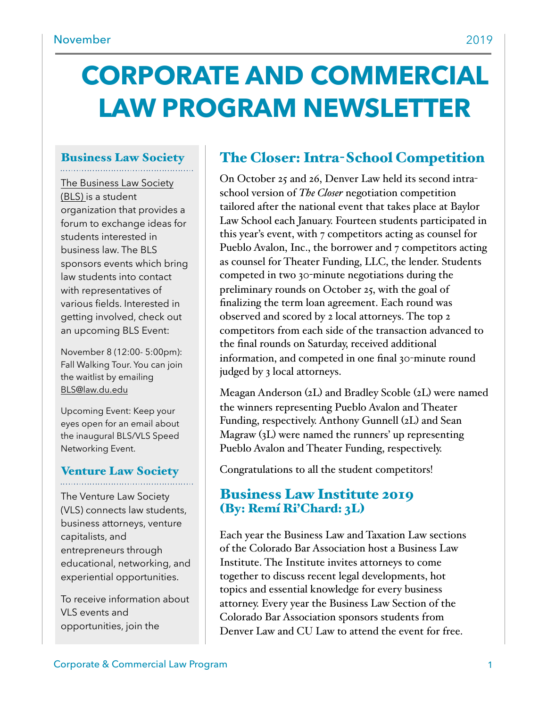# **CORPORATE AND COMMERCIAL LAW PROGRAM NEWSLETTER**

# Business Law Society

[The Business Law Society](https://www.law.du.edu/studentorgs/business-law-society)  [\(BLS\)](https://www.law.du.edu/studentorgs/business-law-society) is a student organization that provides a forum to exchange ideas for students interested in business law. The BLS sponsors events which bring law students into contact with representatives of various fields. Interested in getting involved, check out an upcoming BLS Event:

November 8 (12:00- 5:00pm): Fall Walking Tour. You can join the waitlist by emailing [BLS@law.du.edu](mailto:BLS@law.du.edu)

Upcoming Event: Keep your eyes open for an email about the inaugural BLS/VLS Speed Networking Event.

# Venture Law Society

The Venture Law Society (VLS) connects law students, business attorneys, venture capitalists, and entrepreneurs through educational, networking, and experiential opportunities.

To receive information about VLS events and opportunities, join the

# The Closer: Intra-School Competition

On October 25 and 26, Denver Law held its second intraschool version of *The Closer* negotiation competition tailored after the national event that takes place at Baylor Law School each January. Fourteen students participated in this year's event, with 7 competitors acting as counsel for Pueblo Avalon, Inc., the borrower and 7 competitors acting as counsel for Theater Funding, LLC, the lender. Students competed in two 30-minute negotiations during the preliminary rounds on October 25, with the goal of finalizing the term loan agreement. Each round was observed and scored by 2 local attorneys. The top 2 competitors from each side of the transaction advanced to the final rounds on Saturday, received additional information, and competed in one final 30-minute round judged by 3 local attorneys.

Meagan Anderson (2L) and Bradley Scoble (2L) were named the winners representing Pueblo Avalon and Theater Funding, respectively. Anthony Gunnell (2L) and Sean Magraw (3L) were named the runners' up representing Pueblo Avalon and Theater Funding, respectively.

Congratulations to all the student competitors!

#### Business Law Institute 2019 (By: Remí Ri'Chard: 3L)

Each year the Business Law and Taxation Law sections of the Colorado Bar Association host a Business Law Institute. The Institute invites attorneys to come together to discuss recent legal developments, hot topics and essential knowledge for every business attorney. Every year the Business Law Section of the Colorado Bar Association sponsors students from Denver Law and CU Law to attend the event for free.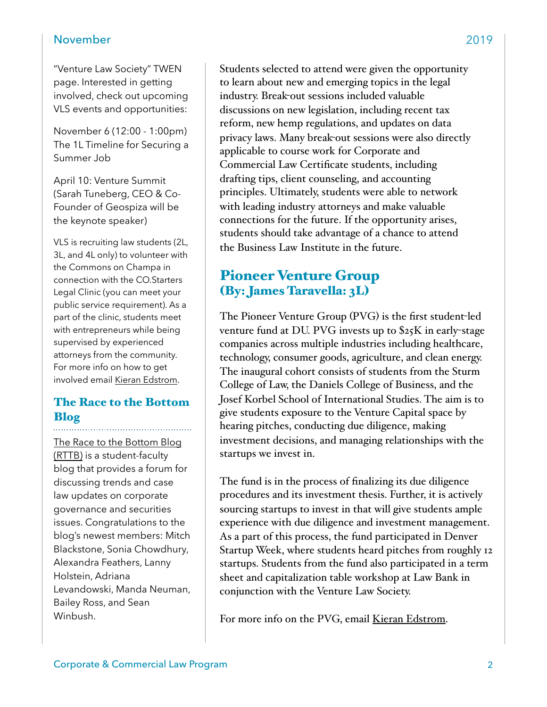#### November 2019

"Venture Law Society" TWEN page. Interested in getting involved, check out upcoming VLS events and opportunities:

November 6 (12:00 - 1:00pm) The 1L Timeline for Securing a Summer Job

April 10: Venture Summit (Sarah Tuneberg, CEO & Co-Founder of Geospiza will be the keynote speaker)

VLS is recruiting law students (2L, 3L, and 4L only) to volunteer with the Commons on Champa in connection with the CO.Starters Legal Clinic (you can meet your public service requirement). As a part of the clinic, students meet with entrepreneurs while being supervised by experienced attorneys from the community. For more info on how to get involved email [Kieran Edstrom.](mailto:kedstrom20@law.du.edu)

#### The Race to the Bottom Blog

[The Race to the Bottom Blog](http://www.theracetothebottom.org/)  [\(RTTB\)](http://www.theracetothebottom.org/) is a student-faculty blog that provides a forum for discussing trends and case law updates on corporate governance and securities issues. Congratulations to the blog's newest members: Mitch Blackstone, Sonia Chowdhury, Alexandra Feathers, Lanny Holstein, Adriana Levandowski, Manda Neuman, Bailey Ross, and Sean Winbush.

Students selected to attend were given the opportunity to learn about new and emerging topics in the legal industry. Break-out sessions included valuable discussions on new legislation, including recent tax reform, new hemp regulations, and updates on data privacy laws. Many break-out sessions were also directly applicable to course work for Corporate and Commercial Law Certificate students, including drafting tips, client counseling, and accounting principles. Ultimately, students were able to network with leading industry attorneys and make valuable connections for the future. If the opportunity arises, students should take advantage of a chance to attend the Business Law Institute in the future.

#### Pioneer Venture Group (By: James Taravella: 3L)

The Pioneer Venture Group (PVG) is the first student-led venture fund at DU. PVG invests up to \$25K in early-stage companies across multiple industries including healthcare, technology, consumer goods, agriculture, and clean energy. The inaugural cohort consists of students from the Sturm College of Law, the Daniels College of Business, and the Josef Korbel School of International Studies. The aim is to give students exposure to the Venture Capital space by hearing pitches, conducting due diligence, making investment decisions, and managing relationships with the startups we invest in.

The fund is in the process of finalizing its due diligence procedures and its investment thesis. Further, it is actively sourcing startups to invest in that will give students ample experience with due diligence and investment management. As a part of this process, the fund participated in Denver Startup Week, where students heard pitches from roughly 12 startups. Students from the fund also participated in a term sheet and capitalization table workshop at Law Bank in conjunction with the Venture Law Society.

For more info on the PVG, email [Kieran Edstrom.](mailto:kedstrom20@law.du.edu)